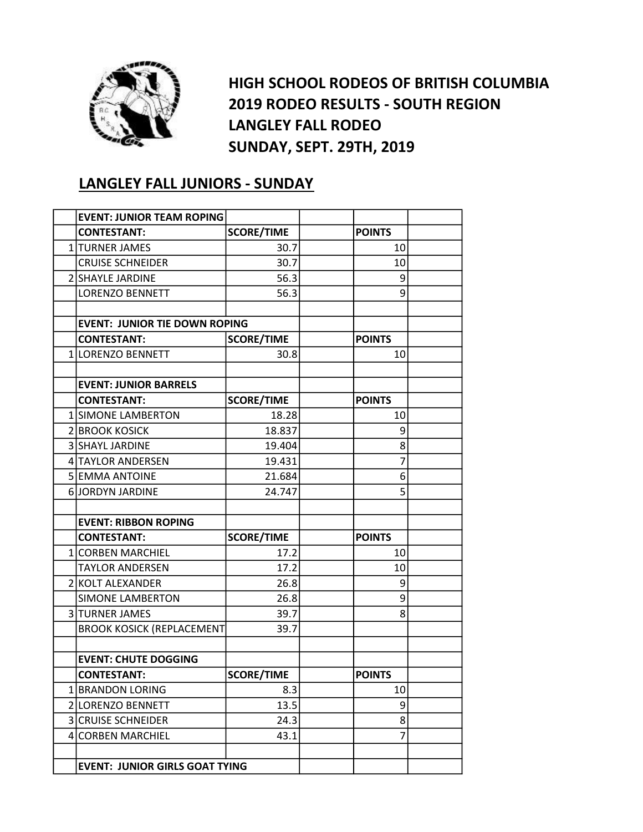

HIGH SCHOOL RODEOS OF BRITISH COLUMBIA 2019 RODEO RESULTS - SOUTH REGION LANGLEY FALL RODEO SUNDAY, SEPT. 29TH, 2019

## LANGLEY FALL JUNIORS - SUNDAY

| <b>EVENT: JUNIOR TEAM ROPING</b>      |                   |               |  |
|---------------------------------------|-------------------|---------------|--|
| <b>CONTESTANT:</b>                    | <b>SCORE/TIME</b> | <b>POINTS</b> |  |
| 1 TURNER JAMES                        | 30.7              | 10            |  |
| <b>CRUISE SCHNEIDER</b>               | 30.7              | 10            |  |
| <b>2 SHAYLE JARDINE</b>               | 56.3              | 9             |  |
| <b>LORENZO BENNETT</b>                | 56.3              | 9             |  |
|                                       |                   |               |  |
| <b>EVENT: JUNIOR TIE DOWN ROPING</b>  |                   |               |  |
| <b>CONTESTANT:</b>                    | <b>SCORE/TIME</b> | <b>POINTS</b> |  |
| 1 LORENZO BENNETT                     | 30.8              | 10            |  |
|                                       |                   |               |  |
| <b>EVENT: JUNIOR BARRELS</b>          |                   |               |  |
| <b>CONTESTANT:</b>                    | <b>SCORE/TIME</b> | <b>POINTS</b> |  |
| 1 SIMONE LAMBERTON                    | 18.28             | 10            |  |
| 2 BROOK KOSICK                        | 18.837            | 9             |  |
| 3 SHAYL JARDINE                       | 19.404            | 8             |  |
| 4 TAYLOR ANDERSEN                     | 19.431            | 7             |  |
| 5 EMMA ANTOINE                        | 21.684            | 6             |  |
| <b>6 JORDYN JARDINE</b>               | 24.747            | 5             |  |
|                                       |                   |               |  |
| <b>EVENT: RIBBON ROPING</b>           |                   |               |  |
| <b>CONTESTANT:</b>                    | <b>SCORE/TIME</b> | <b>POINTS</b> |  |
| 1 CORBEN MARCHIEL                     | 17.2              | 10            |  |
| <b>TAYLOR ANDERSEN</b>                | 17.2              | 10            |  |
| 2 KOLT ALEXANDER                      | 26.8              | 9             |  |
| <b>SIMONE LAMBERTON</b>               | 26.8              | 9             |  |
| 3 TURNER JAMES                        | 39.7              | 8             |  |
| <b>BROOK KOSICK (REPLACEMENT</b>      | 39.7              |               |  |
|                                       |                   |               |  |
| <b>EVENT: CHUTE DOGGING</b>           |                   |               |  |
| <b>CONTESTANT:</b>                    | <b>SCORE/TIME</b> | <b>POINTS</b> |  |
| 1 BRANDON LORING                      | 8.3               | 10            |  |
| 2 LORENZO BENNETT                     | 13.5              | 9             |  |
| <b>3 CRUISE SCHNEIDER</b>             | 24.3              | 8             |  |
| 4 CORBEN MARCHIEL                     | 43.1              | 7             |  |
|                                       |                   |               |  |
| <b>EVENT: JUNIOR GIRLS GOAT TYING</b> |                   |               |  |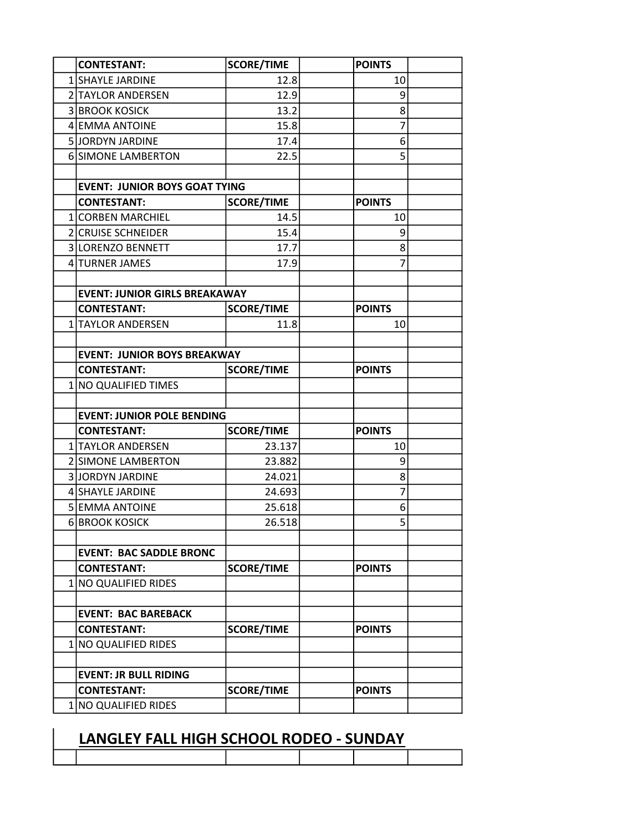| <b>CONTESTANT:</b>                         | <b>SCORE/TIME</b> | <b>POINTS</b> |  |
|--------------------------------------------|-------------------|---------------|--|
| 1 SHAYLE JARDINE                           | 12.8              | 10            |  |
| 2 TAYLOR ANDERSEN                          | 12.9              | 9             |  |
| <b>3 BROOK KOSICK</b>                      | 13.2              | 8             |  |
| 4 EMMA ANTOINE                             | 15.8              | 7             |  |
| 5 JORDYN JARDINE                           | 17.4              | 6             |  |
| <b>6 SIMONE LAMBERTON</b>                  | 22.5              | 5             |  |
|                                            |                   |               |  |
| <b>EVENT: JUNIOR BOYS GOAT TYING</b>       |                   |               |  |
| <b>CONTESTANT:</b>                         | <b>SCORE/TIME</b> | <b>POINTS</b> |  |
| 1 CORBEN MARCHIEL                          | 14.5              | 10            |  |
| 2 CRUISE SCHNEIDER                         | 15.4              | 9             |  |
| 3 LORENZO BENNETT                          | 17.7              | 8             |  |
| 4 TURNER JAMES                             | 17.9              | 7             |  |
|                                            |                   |               |  |
| <b>EVENT: JUNIOR GIRLS BREAKAWAY</b>       |                   |               |  |
| <b>CONTESTANT:</b>                         | <b>SCORE/TIME</b> | <b>POINTS</b> |  |
| 1 TAYLOR ANDERSEN                          | 11.8              | 10            |  |
|                                            |                   |               |  |
| <b>EVENT: JUNIOR BOYS BREAKWAY</b>         |                   |               |  |
| <b>CONTESTANT:</b>                         | <b>SCORE/TIME</b> | <b>POINTS</b> |  |
| 1 NO QUALIFIED TIMES                       |                   |               |  |
|                                            |                   |               |  |
| <b>EVENT: JUNIOR POLE BENDING</b>          |                   |               |  |
| <b>CONTESTANT:</b>                         | <b>SCORE/TIME</b> | <b>POINTS</b> |  |
| 1 TAYLOR ANDERSEN                          | 23.137            | 10            |  |
| 2 SIMONE LAMBERTON                         | 23.882            | 9             |  |
| <b>3 JORDYN JARDINE</b>                    | 24.021            | 8             |  |
| 4 SHAYLE JARDINE                           | 24.693            | 7             |  |
| <b>5 EMMA ANTOINE</b>                      | 25.618            | 6             |  |
| <b>6 BROOK KOSICK</b>                      | 26.518            | 5             |  |
|                                            |                   |               |  |
| <b>EVENT: BAC SADDLE BRONC</b>             |                   |               |  |
| <b>CONTESTANT:</b>                         | <b>SCORE/TIME</b> | <b>POINTS</b> |  |
| 1 NO QUALIFIED RIDES                       |                   |               |  |
|                                            |                   |               |  |
| <b>EVENT: BAC BAREBACK</b>                 |                   |               |  |
| <b>CONTESTANT:</b><br>1 NO QUALIFIED RIDES | <b>SCORE/TIME</b> | <b>POINTS</b> |  |
|                                            |                   |               |  |
| <b>EVENT: JR BULL RIDING</b>               |                   |               |  |
| <b>CONTESTANT:</b>                         | <b>SCORE/TIME</b> | <b>POINTS</b> |  |
|                                            |                   |               |  |
| 1 NO QUALIFIED RIDES                       |                   |               |  |

## LANGLEY FALL HIGH SCHOOL RODEO - SUNDAY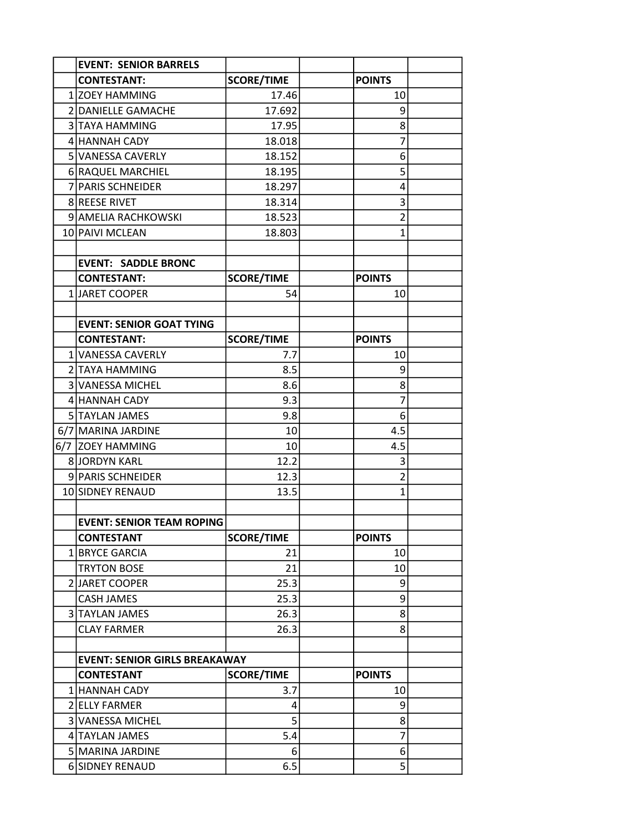| <b>EVENT: SENIOR BARRELS</b>         |                   |                |  |
|--------------------------------------|-------------------|----------------|--|
| <b>CONTESTANT:</b>                   | <b>SCORE/TIME</b> | <b>POINTS</b>  |  |
| 1 ZOEY HAMMING                       | 17.46             | 10             |  |
| 2 DANIELLE GAMACHE                   | 17.692            | 9              |  |
| 3 TAYA HAMMING                       | 17.95             | 8              |  |
| 4 HANNAH CADY                        | 18.018            | 7              |  |
| 5 VANESSA CAVERLY                    | 18.152            | 6              |  |
| 6 RAQUEL MARCHIEL                    | 18.195            | 5              |  |
| 7 PARIS SCHNEIDER                    | 18.297            | 4              |  |
| <b>8 REESE RIVET</b>                 | 18.314            | 3              |  |
| 9 AMELIA RACHKOWSKI                  | 18.523            | $\overline{2}$ |  |
| 10 PAIVI MCLEAN                      | 18.803            | $\mathbf{1}$   |  |
|                                      |                   |                |  |
| <b>EVENT: SADDLE BRONC</b>           |                   |                |  |
| <b>CONTESTANT:</b>                   | <b>SCORE/TIME</b> | <b>POINTS</b>  |  |
| 1 JARET COOPER                       | 54                | 10             |  |
|                                      |                   |                |  |
| <b>EVENT: SENIOR GOAT TYING</b>      |                   |                |  |
| <b>CONTESTANT:</b>                   | <b>SCORE/TIME</b> | <b>POINTS</b>  |  |
| 1 VANESSA CAVERLY                    | 7.7               | 10             |  |
| 2 TAYA HAMMING                       | 8.5               | 9              |  |
| 3 VANESSA MICHEL                     | 8.6               | 8              |  |
| 4 HANNAH CADY                        | 9.3               | 7              |  |
| 5 TAYLAN JAMES                       | 9.8               | 6              |  |
| 6/7 MARINA JARDINE                   | 10                | 4.5            |  |
| 6/7 ZOEY HAMMING                     | 10                | 4.5            |  |
| <b>8 JORDYN KARL</b>                 | 12.2              | 3              |  |
| 9 PARIS SCHNEIDER                    | 12.3              | $\overline{2}$ |  |
| 10 SIDNEY RENAUD                     | 13.5              | 1              |  |
|                                      |                   |                |  |
| <b>EVENT: SENIOR TEAM ROPING</b>     |                   |                |  |
| <b>CONTESTANT</b>                    | <b>SCORE/TIME</b> | <b>POINTS</b>  |  |
| 1 BRYCE GARCIA                       | 21                | 10             |  |
| <b>TRYTON BOSE</b>                   | 21                | 10             |  |
| 2 JARET COOPER                       | 25.3              | 9              |  |
| <b>CASH JAMES</b>                    | 25.3              | 9              |  |
| 3 TAYLAN JAMES                       | 26.3              | 8              |  |
| <b>CLAY FARMER</b>                   | 26.3              | 8              |  |
|                                      |                   |                |  |
| <b>EVENT: SENIOR GIRLS BREAKAWAY</b> |                   |                |  |
| <b>CONTESTANT</b>                    | <b>SCORE/TIME</b> | <b>POINTS</b>  |  |
| 1 HANNAH CADY                        | 3.7               | 10             |  |
| 2 ELLY FARMER<br>3 VANESSA MICHEL    | 4<br>5            | 9              |  |
|                                      |                   | 8<br>7         |  |
| 4 TAYLAN JAMES                       | 5.4               |                |  |
| 5 MARINA JARDINE                     | 6                 | 6              |  |
| 6 SIDNEY RENAUD                      | 6.5               | 5 <sup>1</sup> |  |